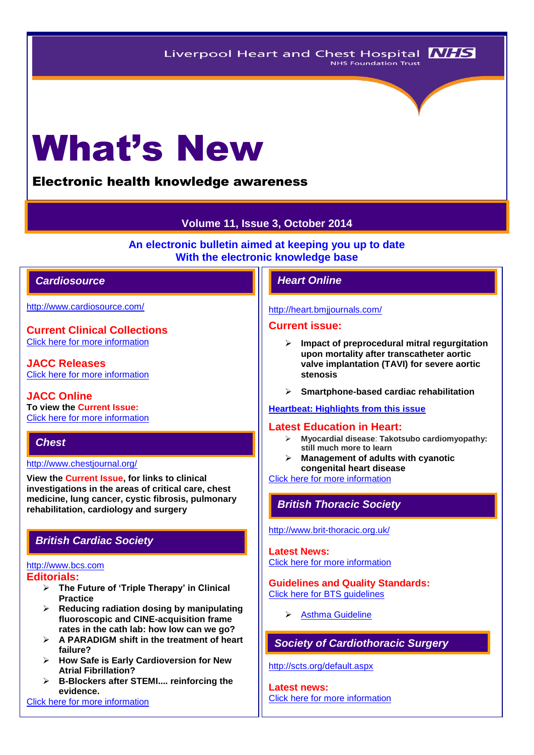# What's New

## Electronic health knowledge awareness

## **Volume 11, Issue 3, October 2014**

**An electronic bulletin aimed at keeping you up to date With the electronic knowledge base**

## *Cardiosource Heart Online*

<http://www.cardiosource.com/>

**Current Clinical Collections** [Click here for more information](http://www.cardiosource.org/science-and-quality/clinical-collections.aspx)

**JACC Releases** [Click here for more information](http://www.cardiosource.org/en/Footer-Pages/Media-Center/News-Releases.aspx)

**JACC Online To view the Current Issue:** [Click here for more information](http://content.onlinejacc.org/current.dtl)

## *Chest*

#### <http://www.chestjournal.org/>

**View the Current Issue, for links to clinical investigations in the areas of critical care, chest medicine, lung cancer, cystic fibrosis, pulmonary rehabilitation, cardiology and surgery**

## *British Cardiac Society*

#### [http://www.bcs.com](http://www.bcs.com/) **Editorials:**

- - **The Future of 'Triple Therapy' in Clinical Practice**
	- **Reducing radiation dosing by manipulating fluoroscopic and CINE-acquisition frame rates in the cath lab: how low can we go?**
	- **A PARADIGM shift in the treatment of heart failure?**
	- **How Safe is Early Cardioversion for New Atrial Fibrillation?**
	- **B-Blockers after STEMI.... reinforcing the evidence.**

[Click here for more information](http://www.bcs.com/editorial/editorial.asp)

#### <http://heart.bmjjournals.com/>

#### **Current issue:**

- **Impact of preprocedural mitral regurgitation upon mortality after transcatheter aortic valve implantation (TAVI) for severe aortic stenosis**
- **Smartphone-based cardiac rehabilitation**

## **[Heartbeat: Highlights from this issue](http://heart.bmj.com/content/100/15/1145.extract)**

## **Latest Education in Heart:**

- **Myocardial disease**: **Takotsubo cardiomyopathy: still much more to learn**
- **Management of adults with cyanotic congenital heart disease**

[Click here for more information](http://heart.bmj.com/site/about/education.xhtml) 

## *British Thoracic Society*

<http://www.brit-thoracic.org.uk/>

**Latest News:** [Click here for more information](https://www.brit-thoracic.org.uk/bts-news/)

#### **Guidelines and Quality Standards:** [Click here for BTS guidelines](https://www.brit-thoracic.org.uk/guidelines-and-quality-standards/)

 $\triangleright$  Asthma Guideline

## *Society of Cardiothoracic Surgery*

<http://scts.org/default.aspx>

**Latest news:** [Click here for more information](http://scts.org/modules/news/)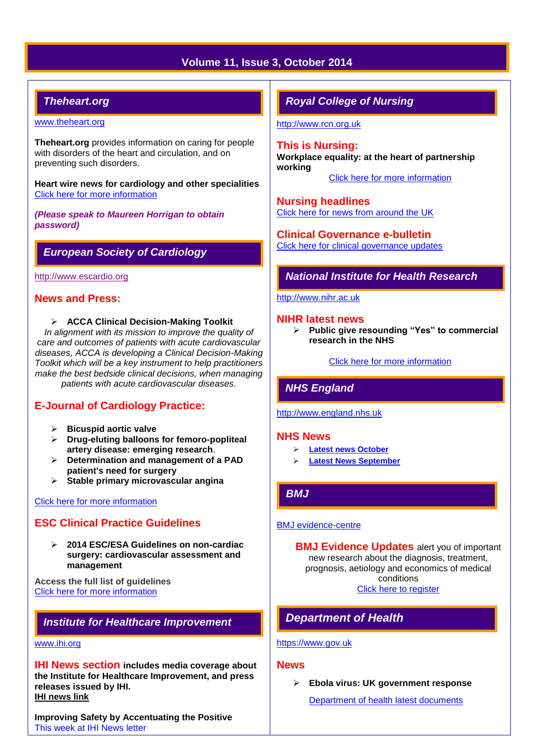## **Volume 11, Issue 3, October 2014**

## *Theheart.org*

#### [www.theheart.org](http://www.theheart.org/)

**Theheart.org** provides information on caring for people with disorders of the heart and circulation, and on preventing such disorders.

**Heart wire news for cardiology and other specialities** [Click here for more information](http://www.medscape.com/cardiology)

*(Please speak to Maureen Horrigan to obtain password)*

## *European Society of Cardiology*

[http://www.escardio.org](http://www.escardio.org/Pages/index.aspx)

#### **News and Press:**

**ACCA Clinical Decision-Making Toolkit**

*In alignment with its mission to improve the quality of care and outcomes of patients with acute cardiovascular diseases, ACCA is developing a Clinical Decision-Making Toolkit which will be a key instrument to help practitioners make the best bedside clinical decisions, when managing patients with acute cardiovascular diseases.*

## **E-Journal of Cardiology Practice:**

- **Bicuspid aortic valve**
- **Drug-eluting balloons for femoro-popliteal artery disease: emerging research**.
- **Determination and management of a PAD patient's need for surgery**
- **Stable primary microvascular angina**

#### [Click here for more information](http://www.escardio.org/communities/councils/ccp/e-journal/Pages/welcome.aspx?hit=homepage)

## **ESC Clinical Practice Guidelines**

 **2014 ESC/ESA Guidelines on non-cardiac surgery: cardiovascular assessment and management**

**Access the full list of guidelines**  [Click here for more information](http://www.escardio.org/guidelines-surveys/esc-guidelines/Pages/GuidelinesList.aspx)

## *Institute for Healthcare Improvement*

#### [www.ihi.org](http://www.ihi.org/)

**IHI News section includes media coverage about the Institute for Healthcare Improvement, and press releases issued by IHI. [IHI news link](http://www.ihi.org/about/news/Pages/default.aspx)**

**Improving Safety by Accentuating the Positive** [This week at IHI News letter](http://www.ihi.org/Documents/ThisWeekatIHI.htm) 

## *Royal College of Nursing*

[http://www.rcn.org.uk](http://www.rcn.org.uk/)

#### **This is Nursing:**

**Workplace equality: at the heart of partnership working**

[Click here for more information](http://thisisnursing.rcn.org.uk/members/)

#### **Nursing headlines**

[Click here for news from around the UK](http://www.rcn.org.uk/newsevents/news)

**Clinical Governance e-bulletin** [Click here for clinical governance updates](http://www.rcn.org.uk/development/practice/clinical_governance/quality_and_safety_e-bulletin/e-bulletin_archive)

*National Institute for Health Research* 

[http://www.nihr.ac.uk](http://www.nihr.ac.uk/)

#### **NIHR latest news**

 **Public give resounding "Yes" to commercial research in the NHS**

[Click here for more information](http://www.nihr.ac.uk/news/Pages/default.aspx)

## *NHS England*

[http://www.england.nhs.uk](http://www.england.nhs.uk/)

#### **NHS News**

- **[Latest news October](http://www.england.nhs.uk/2014/10/)**
- **[Latest News September](http://www.england.nhs.uk/2014/09/)**

## *BMJ*

#### [BMJ evidence-centre](http://plus.mcmaster.ca/EvidenceUpdates/Default.aspx)

**BMJ Evidence Updates** alert you of important new research about the diagnosis, treatment, prognosis, aetiology and economics of medical conditions [Click here to register](http://plus.mcmaster.ca/EvidenceUpdates/Registration.aspx)

# *Department of Health*

## [https://www.gov.uk](https://www.gov.uk/government/organisations/department-of-health)

## **News**

**Ebola virus: UK government response**

[Department of health latest documents](https://www.gov.uk/government/latest?departments%5B%5D=department-of-health)